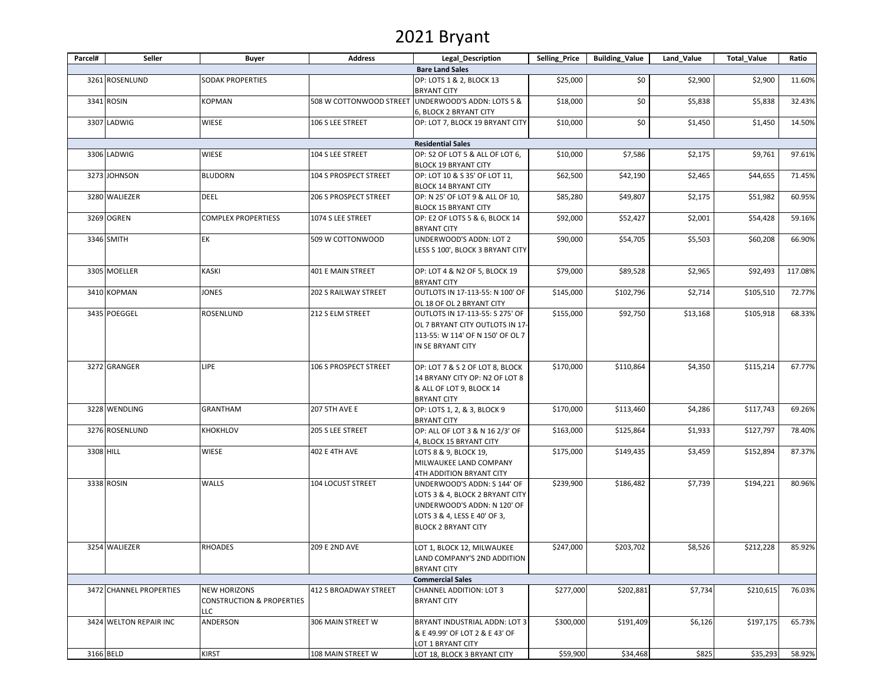# 2021 Bryant

| Parcel#   | Seller                  | Buyer                                                              | <b>Address</b>          | Legal Description                                                                                                                                           | Selling_Price | <b>Building_Value</b> | Land_Value | <b>Total_Value</b> | Ratio   |
|-----------|-------------------------|--------------------------------------------------------------------|-------------------------|-------------------------------------------------------------------------------------------------------------------------------------------------------------|---------------|-----------------------|------------|--------------------|---------|
|           |                         |                                                                    |                         | <b>Bare Land Sales</b>                                                                                                                                      |               |                       |            |                    |         |
|           | 3261 ROSENLUND          | SODAK PROPERTIES                                                   |                         | OP: LOTS 1 & 2, BLOCK 13<br><b>BRYANT CITY</b>                                                                                                              | \$25,000      | \$0                   | \$2,900    | \$2,900            | 11.60%  |
|           | 3341 ROSIN              | KOPMAN                                                             | 508 W COTTONWOOD STREET | UNDERWOOD'S ADDN: LOTS 5 &<br>6, BLOCK 2 BRYANT CITY                                                                                                        | \$18,000      | \$0                   | \$5,838    | \$5,838            | 32.43%  |
|           | 3307 LADWIG             | WIESE                                                              | 106 S LEE STREET        | OP: LOT 7, BLOCK 19 BRYANT CITY                                                                                                                             | \$10,000      | \$0                   | \$1,450    | \$1,450            | 14.50%  |
|           |                         |                                                                    |                         | <b>Residential Sales</b>                                                                                                                                    |               |                       |            |                    |         |
|           | 3306 LADWIG             | <b>WIESE</b>                                                       | 104 S LEE STREET        | OP: S2 OF LOT 5 & ALL OF LOT 6,<br><b>BLOCK 19 BRYANT CITY</b>                                                                                              | \$10,000      | \$7,586               | \$2,175    | \$9,761            | 97.61%  |
|           | 3273 JOHNSON            | <b>BLUDORN</b>                                                     | 104 S PROSPECT STREET   | OP: LOT 10 & S 35' OF LOT 11,<br><b>BLOCK 14 BRYANT CITY</b>                                                                                                | \$62,500      | \$42,190              | \$2,465    | \$44,655           | 71.45%  |
|           | 3280 WALIEZER           | DEEL                                                               | 206 S PROSPECT STREET   | OP: N 25' OF LOT 9 & ALL OF 10,<br><b>BLOCK 15 BRYANT CITY</b>                                                                                              | \$85,280      | \$49,807              | \$2,175    | \$51,982           | 60.95%  |
|           | 3269 OGREN              | COMPLEX PROPERTIESS                                                | 1074 S LEE STREET       | OP: E2 OF LOTS 5 & 6, BLOCK 14<br><b>BRYANT CITY</b>                                                                                                        | \$92,000      | \$52,427              | \$2,001    | \$54,428           | 59.16%  |
|           | 3346 SMITH              | EК                                                                 | 509 W COTTONWOOD        | UNDERWOOD'S ADDN: LOT 2<br>LESS S 100', BLOCK 3 BRYANT CITY                                                                                                 | \$90,000      | \$54,705              | \$5,503    | \$60,208           | 66.90%  |
|           | 3305 MOELLER            | KASKI                                                              | 401 E MAIN STREET       | OP: LOT 4 & N2 OF 5, BLOCK 19<br><b>BRYANT CITY</b>                                                                                                         | \$79,000      | \$89,528              | \$2,965    | \$92,493           | 117.08% |
|           | 3410 KOPMAN             | JONES                                                              | 202 S RAILWAY STREET    | OUTLOTS IN 17-113-55: N 100' OF<br>OL 18 OF OL 2 BRYANT CITY                                                                                                | \$145,000     | \$102,796             | \$2,714    | \$105,510          | 72.77%  |
|           | 3435 POEGGEL            | ROSENLUND                                                          | 212 S ELM STREET        | OUTLOTS IN 17-113-55: S 275' OF<br>OL 7 BRYANT CITY OUTLOTS IN 17-<br>113-55: W 114' OF N 150' OF OL 7<br>IN SE BRYANT CITY                                 | \$155,000     | \$92,750              | \$13,168   | \$105,918          | 68.33%  |
|           | 3272 GRANGER            | lipe                                                               | 106 S PROSPECT STREET   | OP: LOT 7 & S 2 OF LOT 8, BLOCK<br>14 BRYANY CITY OP: N2 OF LOT 8<br>& ALL OF LOT 9, BLOCK 14                                                               | \$170,000     | \$110,864             | \$4,350    | \$115,214          | 67.77%  |
|           | 3228 WENDLING           | <b>GRANTHAM</b>                                                    | <b>207 5TH AVE E</b>    | <b>BRYANT CITY</b><br>OP: LOTS 1, 2, & 3, BLOCK 9<br><b>BRYANT CITY</b>                                                                                     | \$170,000     | \$113,460             | \$4,286    | \$117,743          | 69.26%  |
|           | 3276 ROSENLUND          | KHOKHLOV                                                           | 205 S LEE STREET        | OP: ALL OF LOT 3 & N 16 2/3' OF<br>4, BLOCK 15 BRYANT CITY                                                                                                  | \$163,000     | \$125,864             | \$1,933    | \$127,797          | 78.40%  |
| 3308 HILL |                         | WIESE                                                              | 402 E 4TH AVE           | LOTS 8 & 9, BLOCK 19,<br>MILWAUKEE LAND COMPANY<br>4TH ADDITION BRYANT CITY                                                                                 | \$175,000     | \$149,435             | \$3,459    | \$152,894          | 87.37%  |
|           | 3338 ROSIN              | WALLS                                                              | 104 LOCUST STREET       | UNDERWOOD'S ADDN: S 144' OF<br>LOTS 3 & 4, BLOCK 2 BRYANT CITY<br>UNDERWOOD'S ADDN: N 120' OF<br>LOTS 3 & 4, LESS E 40' OF 3,<br><b>BLOCK 2 BRYANT CITY</b> | \$239,900     | \$186,482             | \$7,739    | \$194,221          | 80.96%  |
|           | 3254 WALIEZER           | <b>RHOADES</b>                                                     | 209 E 2ND AVE           | LOT 1, BLOCK 12, MILWAUKEE<br>LAND COMPANY'S 2ND ADDITION<br><b>BRYANT CITY</b>                                                                             | \$247,000     | \$203,702             | \$8,526    | \$212,228          | 85.92%  |
|           |                         |                                                                    |                         | <b>Commercial Sales</b>                                                                                                                                     |               |                       |            |                    |         |
|           | 3472 CHANNEL PROPERTIES | <b>NEW HORIZONS</b><br><b>CONSTRUCTION &amp; PROPERTIES</b><br>LLC | 412 S BROADWAY STREET   | CHANNEL ADDITION: LOT 3<br><b>BRYANT CITY</b>                                                                                                               | \$277,000     | \$202,881             | \$7,734    | \$210,615          | 76.03%  |
|           | 3424 WELTON REPAIR INC  | ANDERSON                                                           | 306 MAIN STREET W       | BRYANT INDUSTRIAL ADDN: LOT 3<br>& E 49.99' OF LOT 2 & E 43' OF<br>LOT 1 BRYANT CITY                                                                        | \$300,000     | \$191,409             | \$6,126    | \$197,175          | 65.73%  |
|           | 3166 BELD               | KIRST                                                              | 108 MAIN STREET W       | LOT 18, BLOCK 3 BRYANT CITY                                                                                                                                 | \$59,900      | \$34,468              | \$825      | \$35,293           | 58.92%  |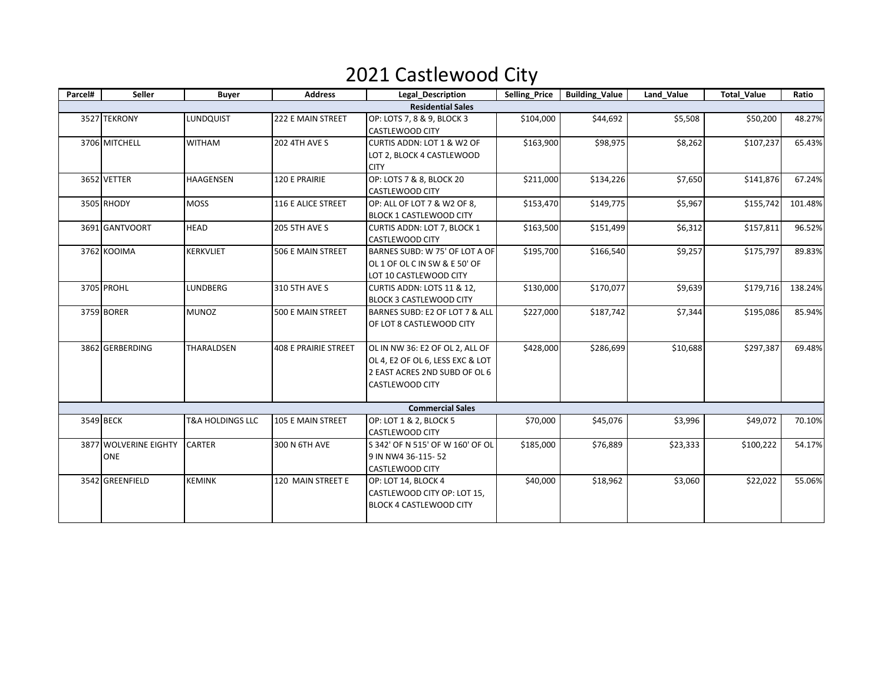## 2021 Castlewood City

| Parcel# | Seller                       | <b>Buyer</b>                | <b>Address</b>              | <b>Legal Description</b>                                                                                                       | Selling_Price | <b>Building_Value</b> | Land_Value | <b>Total Value</b> | Ratio   |
|---------|------------------------------|-----------------------------|-----------------------------|--------------------------------------------------------------------------------------------------------------------------------|---------------|-----------------------|------------|--------------------|---------|
|         |                              |                             |                             | <b>Residential Sales</b>                                                                                                       |               |                       |            |                    |         |
|         | 3527 TEKRONY                 | LUNDQUIST                   | 222 E MAIN STREET           | OP: LOTS 7, 8 & 9, BLOCK 3<br>CASTLEWOOD CITY                                                                                  | \$104,000     | \$44,692              | \$5,508    | \$50,200           | 48.27%  |
|         | 3706 MITCHELL                | <b>WITHAM</b>               | <b>202 4TH AVE S</b>        | CURTIS ADDN: LOT 1 & W2 OF<br>LOT 2, BLOCK 4 CASTLEWOOD<br><b>CITY</b>                                                         | \$163,900     | \$98,975              | \$8,262    | \$107,237          | 65.43%  |
|         | 3652 VETTER                  | <b>HAAGENSEN</b>            | 120 E PRAIRIE               | OP: LOTS 7 & 8, BLOCK 20<br>\$134,226<br>\$211,000<br><b>CASTLEWOOD CITY</b>                                                   |               | \$7,650               | \$141,876  | 67.24%             |         |
|         | 3505 RHODY                   | <b>MOSS</b>                 | 116 E ALICE STREET          | OP: ALL OF LOT 7 & W2 OF 8,<br>\$149,775<br>\$153,470<br>\$5,967<br><b>BLOCK 1 CASTLEWOOD CITY</b>                             |               | \$155,742             | 101.48%    |                    |         |
|         | 3691 GANTVOORT               | <b>HEAD</b>                 | <b>205 5TH AVE S</b>        | CURTIS ADDN: LOT 7, BLOCK 1<br><b>CASTLEWOOD CITY</b>                                                                          | \$163,500     | \$151,499             | \$6,312    | \$157,811          | 96.52%  |
|         | 3762 KOOIMA                  | <b>KERKVLIET</b>            | 506 E MAIN STREET           | BARNES SUBD: W 75' OF LOT A OF<br>OL 1 OF OL C IN SW & E 50' OF<br>LOT 10 CASTLEWOOD CITY                                      | \$195,700     | \$166,540             | \$9,257    | \$175,797          | 89.83%  |
|         | 3705 PROHL                   | LUNDBERG                    | 310 5TH AVE S               | CURTIS ADDN: LOTS 11 & 12,<br><b>BLOCK 3 CASTLEWOOD CITY</b>                                                                   | \$130,000     | \$170,077             | \$9,639    | \$179,716          | 138.24% |
|         | 3759 BORER                   | <b>MUNOZ</b>                | <b>500 E MAIN STREET</b>    | BARNES SUBD: E2 OF LOT 7 & ALL<br>OF LOT 8 CASTLEWOOD CITY                                                                     | \$227,000     | \$187,742             | \$7,344    | \$195,086          | 85.94%  |
|         | 3862 GERBERDING              | THARALDSEN                  | <b>408 E PRAIRIE STREET</b> | OL IN NW 36: E2 OF OL 2, ALL OF<br>OL 4, E2 OF OL 6, LESS EXC & LOT<br>2 EAST ACRES 2ND SUBD OF OL 6<br><b>CASTLEWOOD CITY</b> | \$428,000     | \$286,699             | \$10,688   | \$297,387          | 69.48%  |
|         |                              |                             |                             | <b>Commercial Sales</b>                                                                                                        |               |                       |            |                    |         |
|         | 3549 BECK                    | <b>T&amp;A HOLDINGS LLC</b> | 105 E MAIN STREET           | OP: LOT 1 & 2, BLOCK 5<br>CASTLEWOOD CITY                                                                                      | \$70,000      | \$45,076              | \$3,996    | \$49,072           | 70.10%  |
|         | 3877 WOLVERINE EIGHTY<br>ONE | <b>CARTER</b>               | 300 N 6TH AVE               | S 342' OF N 515' OF W 160' OF OL<br>9 IN NW4 36-115-52<br><b>CASTLEWOOD CITY</b>                                               | \$185,000     | \$76,889              | \$23,333   | \$100,222          | 54.17%  |
|         | 3542 GREENFIELD              | <b>KEMINK</b>               | 120 MAIN STREET E           | OP: LOT 14, BLOCK 4<br>CASTLEWOOD CITY OP: LOT 15,<br><b>BLOCK 4 CASTLEWOOD CITY</b>                                           | \$40,000      | \$18,962              | \$3,060    | \$22,022           | 55.06%  |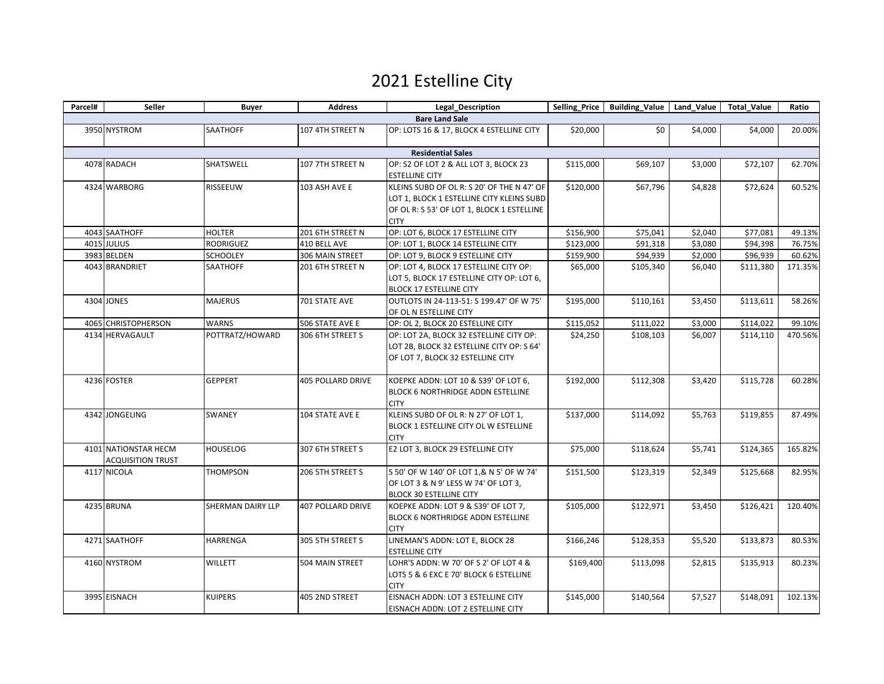### 2021 Estelline City

| Parcel# | Seller                                           | <b>Buyer</b>      | <b>Address</b>           | <b>Legal Description</b>                                                                                                                             |           | Selling Price   Building Value   Land Value   Total Value |         |           | Ratio   |
|---------|--------------------------------------------------|-------------------|--------------------------|------------------------------------------------------------------------------------------------------------------------------------------------------|-----------|-----------------------------------------------------------|---------|-----------|---------|
|         |                                                  |                   |                          | <b>Bare Land Sale</b>                                                                                                                                |           |                                                           |         |           |         |
|         | 3950 NYSTROM                                     | SAATHOFF          | 107 4TH STREET N         | OP: LOTS 16 & 17, BLOCK 4 ESTELLINE CITY                                                                                                             | \$20,000  | \$0                                                       | \$4,000 | \$4,000   | 20.00%  |
|         |                                                  |                   |                          | <b>Residential Sales</b>                                                                                                                             |           |                                                           |         |           |         |
|         | 4078 RADACH                                      | SHATSWELL         | 107 7TH STREET N         | OP: S2 OF LOT 2 & ALL LOT 3, BLOCK 23<br><b>ESTELLINE CITY</b>                                                                                       | \$115,000 | \$69,107                                                  | \$3,000 | \$72,107  | 62.70%  |
|         | 4324 WARBORG                                     | <b>RISSEEUW</b>   | 103 ASH AVE E            | KLEINS SUBD OF OL R: S 20' OF THE N 47' OF<br>LOT 1, BLOCK 1 ESTELLINE CITY KLEINS SUBD<br>OF OL R: S 53' OF LOT 1, BLOCK 1 ESTELLINE<br><b>CITY</b> | \$120,000 | \$67,796                                                  | \$4,828 | \$72,624  | 60.52%  |
|         | 4043 SAATHOFF                                    | <b>HOLTER</b>     | 201 6TH STREET N         | OP: LOT 6, BLOCK 17 ESTELLINE CITY                                                                                                                   | \$156,900 | \$75,041                                                  | \$2,040 | \$77,081  | 49.13%  |
|         | 4015 JULIUS                                      | RODRIGUEZ         | 410 BELL AVE             | OP: LOT 1, BLOCK 14 ESTELLINE CITY                                                                                                                   | \$123,000 | \$91,318                                                  | \$3,080 | \$94,398  | 76.75%  |
|         | 3983 BELDEN                                      | <b>SCHOOLEY</b>   | 306 MAIN STREET          | OP: LOT 9, BLOCK 9 ESTELLINE CITY                                                                                                                    | \$159,900 | \$94,939                                                  | \$2,000 | \$96,939  | 60.62%  |
|         | 4043 BRANDRIET                                   | SAATHOFF          | 201 6TH STREET N         | OP: LOT 4, BLOCK 17 ESTELLINE CITY OP:<br>LOT 5, BLOCK 17 ESTELLINE CITY OP: LOT 6,<br><b>BLOCK 17 ESTELLINE CITY</b>                                | \$65,000  | \$105,340                                                 | \$6,040 | \$111,380 | 171.35% |
|         | 4304 JONES                                       | <b>MAJERUS</b>    | 701 STATE AVE            | OUTLOTS IN 24-113-51: S 199.47' OF W 75'<br>OF OL N ESTELLINE CITY                                                                                   | \$195,000 | \$110,161                                                 | \$3,450 | \$113,611 | 58.26%  |
|         | 4065 CHRISTOPHERSON                              | <b>WARNS</b>      | 506 STATE AVE E          | OP: OL 2, BLOCK 20 ESTELLINE CITY                                                                                                                    | \$115,052 | \$111,022                                                 | \$3,000 | \$114,022 | 99.10%  |
|         | 4134 HERVAGAULT                                  | POTTRATZ/HOWARD   | 306 6TH STREET S         | OP: LOT 2A, BLOCK 32 ESTELLINE CITY OP:<br>LOT 2B, BLOCK 32 ESTELLINE CITY OP: S 64'<br>OF LOT 7, BLOCK 32 ESTELLINE CITY                            | \$24,250  | \$108,103                                                 | \$6,007 | \$114,110 | 470.56% |
|         | 4236 FOSTER                                      | <b>GEPPERT</b>    | <b>405 POLLARD DRIVE</b> | KOEPKE ADDN: LOT 10 & S39' OF LOT 6,<br>BLOCK 6 NORTHRIDGE ADDN ESTELLINE<br><b>CITY</b>                                                             | \$192,000 | \$112,308                                                 | \$3,420 | \$115,728 | 60.28%  |
|         | 4342 JONGELING                                   | <b>SWANEY</b>     | 104 STATE AVE E          | KLEINS SUBD OF OL R: N 27' OF LOT 1,<br>BLOCK 1 ESTELLINE CITY OL W ESTELLINE<br><b>CITY</b>                                                         | \$137,000 | \$114,092                                                 | \$5,763 | \$119,855 | 87.49%  |
|         | 4101 NATIONSTAR HECM<br><b>ACQUISITION TRUST</b> | <b>HOUSELOG</b>   | 307 6TH STREET S         | E2 LOT 3, BLOCK 29 ESTELLINE CITY                                                                                                                    | \$75,000  | \$118,624                                                 | \$5,741 | \$124,365 | 165.82% |
|         | 4117 NICOLA                                      | <b>THOMPSON</b>   | 206 5TH STREET S         | S 50' OF W 140' OF LOT 1,& N 5' OF W 74'<br>OF LOT 3 & N 9' LESS W 74' OF LOT 3,<br><b>BLOCK 30 ESTELLINE CITY</b>                                   | \$151,500 | \$123,319                                                 | \$2,349 | \$125,668 | 82.95%  |
|         | 4235 BRUNA                                       | SHERMAN DAIRY LLP | <b>407 POLLARD DRIVE</b> | KOEPKE ADDN: LOT 9 & S39' OF LOT 7,<br><b>BLOCK 6 NORTHRIDGE ADDN ESTELLINE</b><br><b>CITY</b>                                                       | \$105,000 | \$122,971                                                 | \$3,450 | \$126,421 | 120.40% |
|         | 4271 SAATHOFF                                    | HARRENGA          | 305 5TH STREET S         | LINEMAN'S ADDN: LOT E, BLOCK 28<br><b>ESTELLINE CITY</b>                                                                                             | \$166,246 | \$128,353                                                 | \$5,520 | \$133,873 | 80.53%  |
|         | 4160 NYSTROM                                     | <b>WILLETT</b>    | 504 MAIN STREET          | LOHR'S ADDN: W 70' OF S 2' OF LOT 4 &<br>LOTS 5 & 6 EXC E 70' BLOCK 6 ESTELLINE<br><b>CITY</b>                                                       | \$169,400 | \$113,098                                                 | \$2,815 | \$135,913 | 80.23%  |
|         | 3995 EISNACH                                     | <b>KUIPERS</b>    | 405 2ND STREET           | EISNACH ADDN: LOT 3 ESTELLINE CITY<br>EISNACH ADDN: LOT 2 ESTELLINE CITY                                                                             | \$145,000 | \$140,564                                                 | \$7,527 | \$148,091 | 102.13% |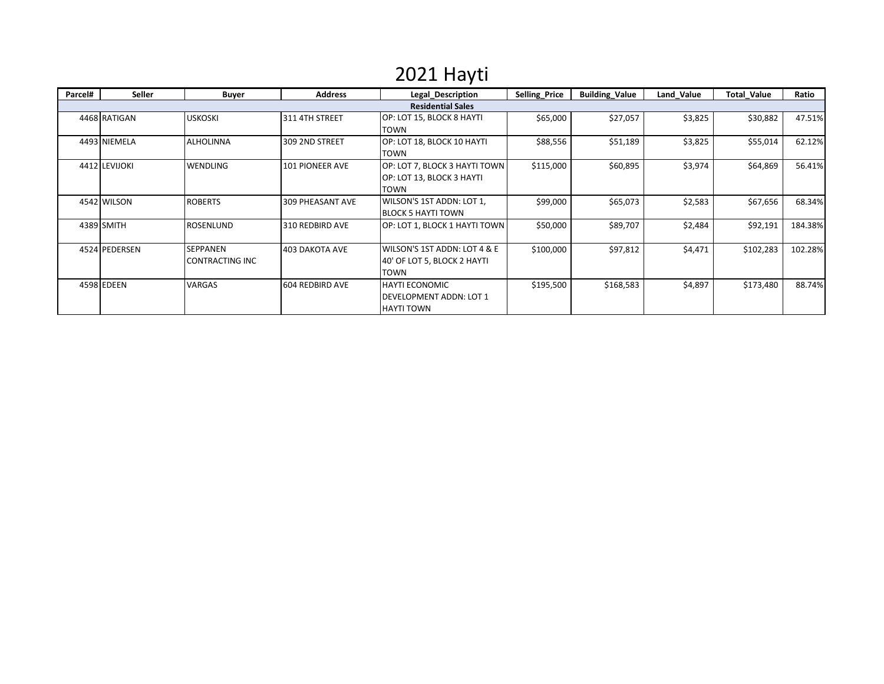## 2021 Hayti

| Parcel# | <b>Seller</b> | <b>Buyer</b>                              | <b>Address</b>   | Legal Description                                                            | <b>Selling Price</b> | <b>Building_Value</b> | Land Value | <b>Total Value</b> | Ratio   |
|---------|---------------|-------------------------------------------|------------------|------------------------------------------------------------------------------|----------------------|-----------------------|------------|--------------------|---------|
|         |               |                                           |                  | <b>Residential Sales</b>                                                     |                      |                       |            |                    |         |
|         | 4468 RATIGAN  | <b>USKOSKI</b>                            | 311 4TH STREET   | OP: LOT 15, BLOCK 8 HAYTI<br><b>TOWN</b>                                     | \$65,000             | \$27,057              | \$3,825    | \$30,882           | 47.51%  |
|         | 4493 NIEMELA  | <b>ALHOLINNA</b>                          | 309 2ND STREET   | OP: LOT 18, BLOCK 10 HAYTI<br><b>TOWN</b>                                    | \$88,556             | \$51,189              | \$3,825    | \$55,014           | 62.12%  |
|         | 4412 LEVIJOKI | <b>WENDLING</b>                           | 101 PIONEER AVE  | OP: LOT 7, BLOCK 3 HAYTI TOWN<br>OP: LOT 13, BLOCK 3 HAYTI<br><b>TOWN</b>    | \$115,000            | \$60,895              | \$3,974    | \$64,869           | 56.41%  |
|         | 4542 WILSON   | <b>ROBERTS</b>                            | 309 PHEASANT AVE | WILSON'S 1ST ADDN: LOT 1,<br><b>BLOCK 5 HAYTI TOWN</b>                       | \$99,000             | \$65,073              | \$2,583    | \$67,656           | 68.34%  |
|         | 4389 SMITH    | <b>ROSENLUND</b>                          | 310 REDBIRD AVE  | OP: LOT 1, BLOCK 1 HAYTI TOWN                                                | \$50,000             | \$89,707              | \$2,484    | \$92,191           | 184.38% |
|         | 4524 PEDERSEN | <b>SEPPANEN</b><br><b>CONTRACTING INC</b> | 403 DAKOTA AVE   | WILSON'S 1ST ADDN: LOT 4 & E<br>40' OF LOT 5, BLOCK 2 HAYTI<br><b>TOWN</b>   | \$100,000            | \$97,812              | \$4,471    | \$102,283          | 102.28% |
|         | 4598 EDEEN    | <b>VARGAS</b>                             | 604 REDBIRD AVE  | <b>HAYTI ECONOMIC</b><br><b>DEVELOPMENT ADDN: LOT 1</b><br><b>HAYTI TOWN</b> | \$195,500            | \$168,583             | \$4,897    | \$173,480          | 88.74%  |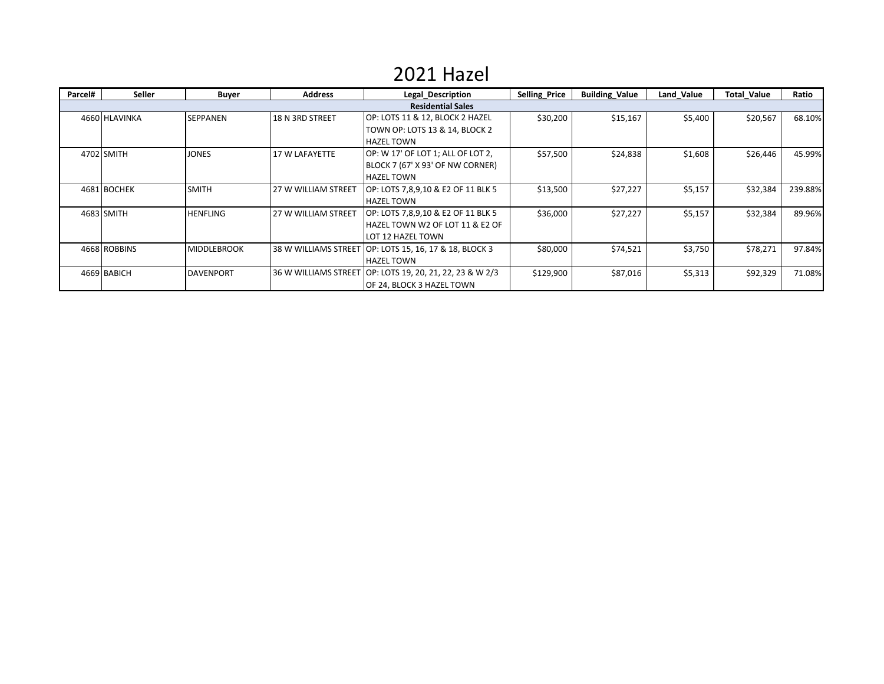#### 2021 Hazel

| Parcel# | Seller        | <b>Buyer</b>       | <b>Address</b>             | Legal Description                                                                          | <b>Selling Price</b> | <b>Building Value</b> | Land Value | <b>Total Value</b> | Ratio   |
|---------|---------------|--------------------|----------------------------|--------------------------------------------------------------------------------------------|----------------------|-----------------------|------------|--------------------|---------|
|         |               |                    |                            | <b>Residential Sales</b>                                                                   |                      |                       |            |                    |         |
|         | 4660 HLAVINKA | <b>SEPPANEN</b>    | 18 N 3RD STREET            | OP: LOTS 11 & 12, BLOCK 2 HAZEL<br>TOWN OP: LOTS 13 & 14, BLOCK 2<br><b>HAZEL TOWN</b>     | \$30,200             | \$15,167              | \$5,400    | \$20,567           | 68.10%  |
|         | 4702 SMITH    | <b>JONES</b>       | 17 W LAFAYETTE             | OP: W 17' OF LOT 1; ALL OF LOT 2,<br>BLOCK 7 (67' X 93' OF NW CORNER)<br><b>HAZEL TOWN</b> | \$57,500             | \$24,838              | \$1,608    | \$26,446           | 45.99%  |
|         | 4681 BOCHEK   | <b>SMITH</b>       | <b>27 W WILLIAM STREET</b> | OP: LOTS 7,8,9,10 & E2 OF 11 BLK 5<br><b>HAZEL TOWN</b>                                    | \$13,500             | \$27,227              | \$5,157    | \$32,384           | 239.88% |
|         | 4683 SMITH    | <b>HENFLING</b>    | <b>27 W WILLIAM STREET</b> | OP: LOTS 7,8,9,10 & E2 OF 11 BLK 5<br>HAZEL TOWN W2 OF LOT 11 & E2 OF<br>LOT 12 HAZEL TOWN | \$36,000             | \$27,227              | \$5,157    | \$32,384           | 89.96%  |
|         | 4668 ROBBINS  | <b>MIDDLEBROOK</b> | 38 W WILLIAMS STREET       | [OP: LOTS 15, 16, 17 & 18, BLOCK 3]<br><b>HAZEL TOWN</b>                                   | \$80,000             | \$74,521              | \$3,750    | \$78,271           | 97.84%  |
|         | 4669 BABICH   | <b>DAVENPORT</b>   | 36 W WILLIAMS STREET       | [ OP: LOTS 19, 20, 21, 22, 23 & W 2/3<br>OF 24, BLOCK 3 HAZEL TOWN                         | \$129,900            | \$87,016              | \$5,313    | \$92,329           | 71.08%  |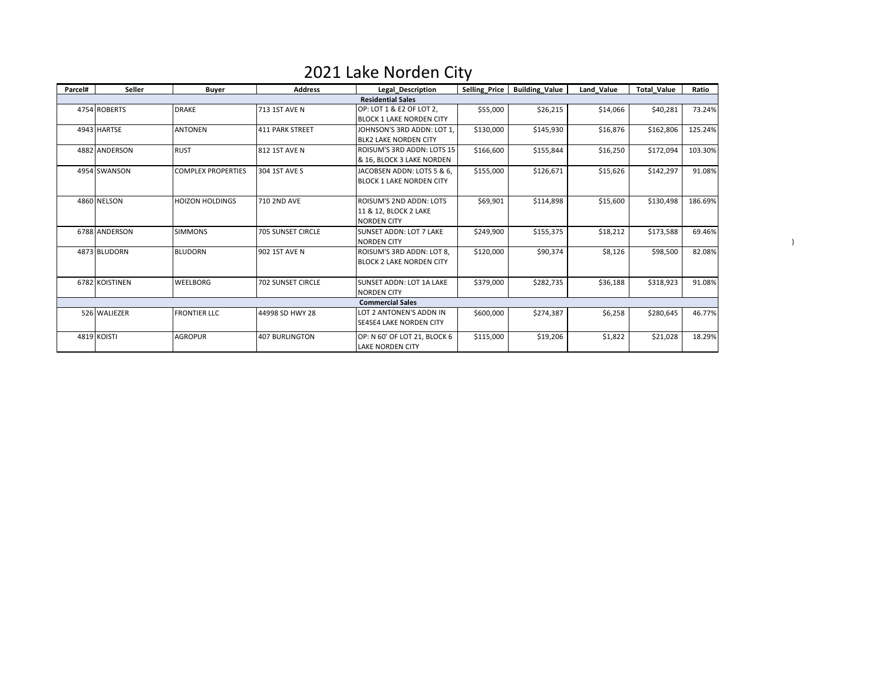| Parcel# | Seller         | <b>Buyer</b>              | <b>Address</b>           | Legal Description                                                      | Selling_Price          | <b>Building_Value</b> | Land Value | <b>Total Value</b> | Ratio   |
|---------|----------------|---------------------------|--------------------------|------------------------------------------------------------------------|------------------------|-----------------------|------------|--------------------|---------|
|         |                |                           |                          | <b>Residential Sales</b>                                               |                        |                       |            |                    |         |
|         | 4754 ROBERTS   | <b>DRAKE</b>              | 713 1ST AVE N            | OP: LOT 1 & E2 OF LOT 2,<br><b>BLOCK 1 LAKE NORDEN CITY</b>            | \$55,000               | \$26,215              | \$14,066   | \$40,281           | 73.24%  |
|         | 4943 HARTSE    | <b>ANTONEN</b>            | <b>411 PARK STREET</b>   | JOHNSON'S 3RD ADDN: LOT 1.<br><b>BLK2 LAKE NORDEN CITY</b>             | \$130,000              | \$145,930             | \$16,876   | \$162,806          | 125.24% |
|         | 4882 ANDERSON  | <b>RUST</b>               | 812 1ST AVE N            | ROISUM'S 3RD ADDN: LOTS 15<br>& 16, BLOCK 3 LAKE NORDEN                | \$166,600<br>\$155,844 |                       | \$16,250   | \$172,094          | 103.30% |
|         | 4954 SWANSON   | <b>COMPLEX PROPERTIES</b> | 304 1ST AVE S            | JACOBSEN ADDN: LOTS 5 & 6,<br><b>BLOCK 1 LAKE NORDEN CITY</b>          | \$155,000              | \$126,671             | \$15,626   | \$142,297          | 91.08%  |
|         | 4860 NELSON    | <b>HOIZON HOLDINGS</b>    | <b>710 2ND AVE</b>       | ROISUM'S 2ND ADDN: LOTS<br>11 & 12, BLOCK 2 LAKE<br><b>NORDEN CITY</b> | \$69,901               | \$114,898             | \$15,600   | \$130,498          | 186.69% |
|         | 6788 ANDERSON  | <b>SIMMONS</b>            | <b>705 SUNSET CIRCLE</b> | <b>SUNSET ADDN: LOT 7 LAKE</b><br><b>NORDEN CITY</b>                   | \$249,900              | \$155,375             | \$18,212   | \$173,588          | 69.46%  |
|         | 4873 BLUDORN   | <b>BLUDORN</b>            | 902 1ST AVE N            | ROISUM'S 3RD ADDN: LOT 8.<br><b>BLOCK 2 LAKE NORDEN CITY</b>           | \$120,000              | \$90,374              | \$8,126    | \$98,500           | 82.08%  |
|         | 6782 KOISTINEN | <b>WEELBORG</b>           | <b>702 SUNSET CIRCLE</b> | <b>SUNSET ADDN: LOT 1A LAKE</b><br><b>NORDEN CITY</b>                  | \$379,000              | \$282,735             | \$36,188   | \$318,923          | 91.08%  |
|         |                |                           |                          | <b>Commercial Sales</b>                                                |                        |                       |            |                    |         |
|         | 526 WALIEZER   | <b>FRONTIER LLC</b>       | 44998 SD HWY 28          | LOT 2 ANTONEN'S ADDN IN<br>SE4SE4 LAKE NORDEN CITY                     | \$600,000              | \$274,387             | \$6,258    | \$280,645          | 46.77%  |
|         | 4819 KOISTI    | <b>AGROPUR</b>            | <b>407 BURLINGTON</b>    | OP: N 60' OF LOT 21, BLOCK 6<br><b>LAKE NORDEN CITY</b>                | \$115,000              | \$19,206              | \$1,822    | \$21,028           | 18.29%  |

)

#### 2021 Lake Norden City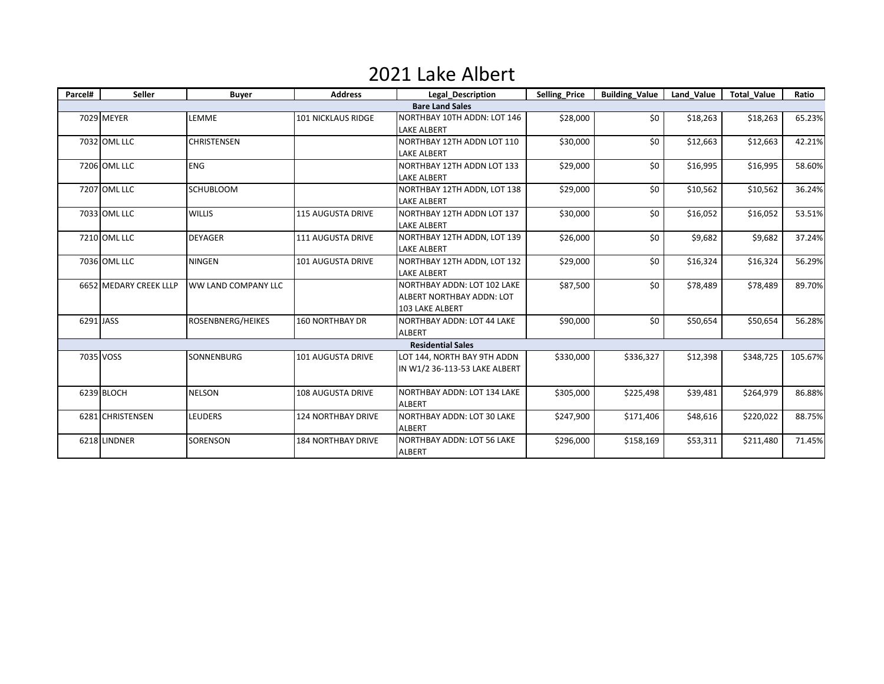### 2021 Lake Albert

| Parcel# | <b>Seller</b>          | <b>Buyer</b>               | <b>Address</b>            | <b>Legal Description</b>                                                                  | <b>Selling Price</b> | <b>Building_Value</b> | Land Value | <b>Total Value</b> | Ratio   |
|---------|------------------------|----------------------------|---------------------------|-------------------------------------------------------------------------------------------|----------------------|-----------------------|------------|--------------------|---------|
|         |                        |                            |                           | <b>Bare Land Sales</b>                                                                    |                      |                       |            |                    |         |
|         | 7029 MEYER             | LEMME                      | <b>101 NICKLAUS RIDGE</b> | NORTHBAY 10TH ADDN: LOT 146<br><b>LAKE ALBERT</b>                                         | \$28,000             | \$0                   | \$18,263   | \$18,263           | 65.23%  |
|         | 7032 OML LLC           | <b>CHRISTENSEN</b>         |                           | NORTHBAY 12TH ADDN LOT 110<br><b>LAKE ALBERT</b>                                          | \$30,000             | \$0                   | \$12,663   | \$12,663           | 42.21%  |
|         | 7206 OML LLC           | <b>ENG</b>                 |                           | NORTHBAY 12TH ADDN LOT 133<br><b>LAKE ALBERT</b>                                          | \$29,000             | \$0                   | \$16,995   | \$16,995           | 58.60%  |
|         | 7207 OML LLC           | <b>SCHUBLOOM</b>           |                           | NORTHBAY 12TH ADDN, LOT 138<br><b>LAKE ALBERT</b>                                         | \$29,000             | \$0                   | \$10,562   | \$10,562           | 36.24%  |
|         | 7033 OML LLC           | <b>WILLIS</b>              | <b>115 AUGUSTA DRIVE</b>  | NORTHBAY 12TH ADDN LOT 137<br><b>LAKE ALBERT</b>                                          | \$30,000             | \$0                   | \$16,052   | \$16,052           | 53.51%  |
|         | 7210 OML LLC           | <b>DEYAGER</b>             | <b>111 AUGUSTA DRIVE</b>  | NORTHBAY 12TH ADDN, LOT 139<br><b>LAKE ALBERT</b>                                         | \$26,000             | \$0                   | \$9,682    | \$9,682            | 37.24%  |
|         | 7036 OML LLC           | <b>NINGEN</b>              | <b>101 AUGUSTA DRIVE</b>  | NORTHBAY 12TH ADDN, LOT 132<br><b>LAKE ALBERT</b>                                         | \$29,000             | \$0                   | \$16,324   | \$16,324           | 56.29%  |
|         | 6652 MEDARY CREEK LLLP | <b>WW LAND COMPANY LLC</b> |                           | NORTHBAY ADDN: LOT 102 LAKE<br><b>ALBERT NORTHBAY ADDN: LOT</b><br><b>103 LAKE ALBERT</b> | \$87,500             | \$0                   | \$78,489   | \$78,489           | 89.70%  |
|         | 6291 JASS              | ROSENBNERG/HEIKES          | <b>160 NORTHBAY DR</b>    | NORTHBAY ADDN: LOT 44 LAKE<br>ALBERT                                                      | \$90,000             | \$0                   | \$50,654   | \$50,654           | 56.28%  |
|         |                        |                            |                           | <b>Residential Sales</b>                                                                  |                      |                       |            |                    |         |
|         | 7035 VOSS              | SONNENBURG                 | <b>101 AUGUSTA DRIVE</b>  | LOT 144, NORTH BAY 9TH ADDN<br>IN W1/2 36-113-53 LAKE ALBERT                              | \$330,000            | \$336,327             | \$12,398   | \$348,725          | 105.67% |
|         | 6239 BLOCH             | <b>NELSON</b>              | <b>108 AUGUSTA DRIVE</b>  | NORTHBAY ADDN: LOT 134 LAKE<br><b>ALBERT</b>                                              | \$305,000            | \$225,498             | \$39,481   | \$264,979          | 86.88%  |
|         | 6281 CHRISTENSEN       | <b>LEUDERS</b>             | <b>124 NORTHBAY DRIVE</b> | <b>NORTHBAY ADDN: LOT 30 LAKE</b><br><b>ALBERT</b>                                        | \$247,900            | \$171,406             | \$48,616   | \$220,022          | 88.75%  |
|         | 6218 LINDNER           | SORENSON                   | <b>184 NORTHBAY DRIVE</b> | NORTHBAY ADDN: LOT 56 LAKE<br><b>ALBERT</b>                                               | \$296,000            | \$158,169             | \$53,311   | \$211,480          | 71.45%  |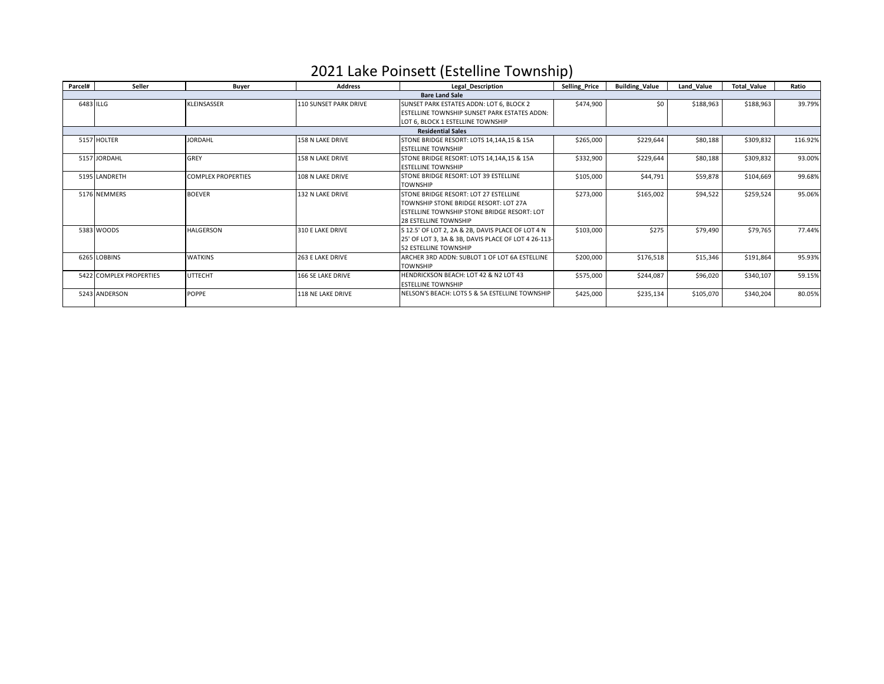#### 2021 Lake Poinsett (Estelline Township)

| Parcel# | Seller                   | Buyer                     | <b>Address</b>        | Legal Description                                   | <b>Selling Price</b> | <b>Building Value</b> | Land Value | <b>Total Value</b> | Ratio   |  |  |  |
|---------|--------------------------|---------------------------|-----------------------|-----------------------------------------------------|----------------------|-----------------------|------------|--------------------|---------|--|--|--|
|         |                          |                           |                       | <b>Bare Land Sale</b>                               |                      |                       |            |                    |         |  |  |  |
|         | 6483 ILLG                | KLEINSASSER               | 110 SUNSET PARK DRIVE | SUNSET PARK ESTATES ADDN: LOT 6, BLOCK 2            | \$474,900            | \$0                   | \$188,963  | \$188,963          | 39.79%  |  |  |  |
|         |                          |                           |                       | <b>ESTELLINE TOWNSHIP SUNSET PARK ESTATES ADDN:</b> |                      |                       |            |                    |         |  |  |  |
|         |                          |                           |                       | LOT 6. BLOCK 1 ESTELLINE TOWNSHIP                   |                      |                       |            |                    |         |  |  |  |
|         | <b>Residential Sales</b> |                           |                       |                                                     |                      |                       |            |                    |         |  |  |  |
|         | 5157 HOLTER              | <b>IORDAHL</b>            | 158 N LAKE DRIVE      | STONE BRIDGE RESORT: LOTS 14,14A,15 & 15A           | \$265,000            | \$229,644             | \$80,188   | \$309,832          | 116.92% |  |  |  |
|         |                          |                           |                       | <b>ESTELLINE TOWNSHIP</b>                           |                      |                       |            |                    |         |  |  |  |
|         | 5157 JORDAHL             | GREY                      | 158 N LAKE DRIVE      | STONE BRIDGE RESORT: LOTS 14.14A.15 & 15A           | \$332,900            | \$229,644             | \$80,188   | \$309,832          | 93.00%  |  |  |  |
|         |                          |                           |                       | <b>ESTELLINE TOWNSHIP</b>                           |                      |                       |            |                    |         |  |  |  |
|         | 5195 LANDRETH            | <b>COMPLEX PROPERTIES</b> | 108 N LAKE DRIVE      | STONE BRIDGE RESORT: LOT 39 ESTELLINE               | \$105,000            | \$44,791              | \$59,878   | \$104,669          | 99.68%  |  |  |  |
|         |                          |                           |                       | <b>TOWNSHIP</b>                                     |                      |                       |            |                    |         |  |  |  |
|         | 5176 NEMMERS             | <b>BOEVER</b>             | 132 N LAKE DRIVE      | STONE BRIDGE RESORT: LOT 27 ESTELLINE               | \$273,000            | \$165,002             | \$94,522   | \$259,524          | 95.06%  |  |  |  |
|         |                          |                           |                       | TOWNSHIP STONE BRIDGE RESORT: LOT 27A               |                      |                       |            |                    |         |  |  |  |
|         |                          |                           |                       | ESTELLINE TOWNSHIP STONE BRIDGE RESORT: LOT         |                      |                       |            |                    |         |  |  |  |
|         |                          |                           |                       | <b>28 ESTELLINE TOWNSHIP</b>                        |                      |                       |            |                    |         |  |  |  |
|         | 5383 WOODS               | <b>HALGERSON</b>          | 310 E LAKE DRIVE      | S 12.5' OF LOT 2, 2A & 2B, DAVIS PLACE OF LOT 4 N   | \$103,000            | \$275                 | \$79,490   | \$79,765           | 77.44%  |  |  |  |
|         |                          |                           |                       | 25' OF LOT 3, 3A & 3B, DAVIS PLACE OF LOT 4 26-113- |                      |                       |            |                    |         |  |  |  |
|         |                          |                           |                       | <b>52 ESTELLINE TOWNSHIP</b>                        |                      |                       |            |                    |         |  |  |  |
|         | 6265 LOBBINS             | <b>WATKINS</b>            | 263 E LAKE DRIVE      | ARCHER 3RD ADDN: SUBLOT 1 OF LOT 6A ESTELLINE       | \$200,000            | \$176,518             | \$15,346   | \$191,864          | 95.93%  |  |  |  |
|         |                          |                           |                       | <b>TOWNSHIP</b>                                     |                      |                       |            |                    |         |  |  |  |
|         | 5422 COMPLEX PROPERTIES  | <b>UTTECHT</b>            | 166 SE LAKE DRIVE     | HENDRICKSON BEACH: LOT 42 & N2 LOT 43               | \$575,000            | \$244,087             | \$96,020   | \$340,107          | 59.15%  |  |  |  |
|         |                          |                           |                       | <b>ESTELLINE TOWNSHIP</b>                           |                      |                       |            |                    |         |  |  |  |
|         | 5243 ANDERSON            | <b>POPPE</b>              | 118 NE LAKE DRIVE     | NELSON'S BEACH: LOTS 5 & 5A ESTELLINE TOWNSHIP      | \$425,000            | \$235,134             | \$105,070  | \$340,204          | 80.05%  |  |  |  |
|         |                          |                           |                       |                                                     |                      |                       |            |                    |         |  |  |  |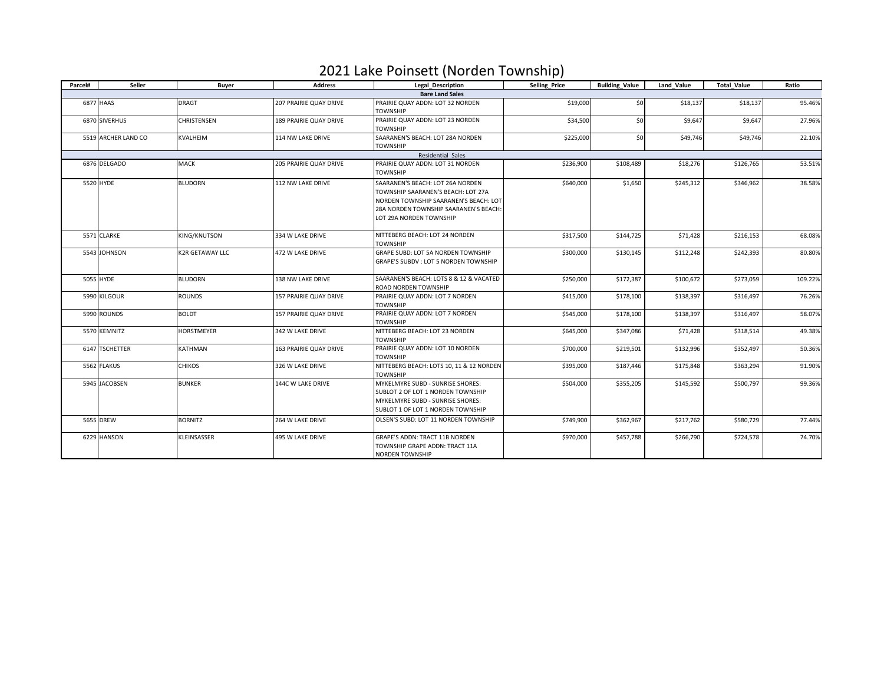### 2021 Lake Poinsett (Norden Township)

| Parcel# | Seller              | Buyer                  | <b>Address</b>         | <b>Legal Description</b><br><b>Selling Price</b>                                                                                                                                    |                                     | <b>Building Value</b> | Land Value | <b>Total Value</b> | Ratio   |
|---------|---------------------|------------------------|------------------------|-------------------------------------------------------------------------------------------------------------------------------------------------------------------------------------|-------------------------------------|-----------------------|------------|--------------------|---------|
|         |                     |                        |                        | <b>Bare Land Sales</b>                                                                                                                                                              |                                     |                       |            |                    |         |
|         | 6877 HAAS           | <b>DRAGT</b>           | 207 PRAIRIE QUAY DRIVE | PRAIRIE QUAY ADDN: LOT 32 NORDEN<br><b>TOWNSHIP</b>                                                                                                                                 | \$19,000                            | \$0                   | \$18,137   | \$18,137           | 95.46%  |
|         | 6870 SIVERHUS       | CHRISTENSEN            | 189 PRAIRIE QUAY DRIVE | PRAIRIE QUAY ADDN: LOT 23 NORDEN<br><b>TOWNSHIP</b>                                                                                                                                 | \$34,500                            | SO <sub>2</sub>       | \$9,647    | \$9,647            | 27.96%  |
|         | 5519 ARCHER LAND CO | KVALHEIM               | 114 NW LAKE DRIVE      | SAARANEN'S BEACH: LOT 28A NORDEN<br><b>TOWNSHIP</b>                                                                                                                                 | \$225,000                           | \$0                   | \$49,746   | \$49,746           | 22.10%  |
|         |                     |                        |                        | <b>Residential Sales</b>                                                                                                                                                            |                                     |                       |            |                    |         |
|         | 6876 DELGADO        | <b>MACK</b>            | 205 PRAIRIE QUAY DRIVE | PRAIRIE QUAY ADDN: LOT 31 NORDEN<br><b>TOWNSHIP</b>                                                                                                                                 | \$236,900                           | \$108,489             | \$18,276   | \$126,765          | 53.51%  |
|         | 5520 HYDE           | <b>BLUDORN</b>         | 112 NW LAKE DRIVE      | SAARANEN'S BEACH: LOT 26A NORDEN<br>TOWNSHIP SAARANEN'S BEACH: LOT 27A<br>NORDEN TOWNSHIP SAARANEN'S BEACH: LOT<br>28A NORDEN TOWNSHIP SAARANEN'S BEACH:<br>LOT 29A NORDEN TOWNSHIP | \$640,000                           | \$1,650               | \$245,312  | \$346,962          | 38.58%  |
|         | 5571 CLARKE         | KING/KNUTSON           | 334 W LAKE DRIVE       | NITTEBERG BEACH: LOT 24 NORDEN<br><b>TOWNSHIP</b>                                                                                                                                   | \$317,500                           | \$144,725             | \$71,428   | \$216,153          | 68.08%  |
|         | 5543 JOHNSON        | <b>K2R GETAWAY LLC</b> | 472 W LAKE DRIVE       | GRAPE SUBD: LOT 5A NORDEN TOWNSHIP<br>GRAPE'S SUBDV : LOT 5 NORDEN TOWNSHIP                                                                                                         | \$300,000                           |                       | \$112,248  | \$242,393          | 80.80%  |
|         | 5055 HYDE           | <b>BLUDORN</b>         | 138 NW LAKE DRIVE      | SAARANEN'S BEACH: LOTS 8 & 12 & VACATED<br>ROAD NORDEN TOWNSHIP                                                                                                                     | \$250,000                           | \$172,387             | \$100,672  | \$273,059          | 109.22% |
|         | 5990 KILGOUR        | <b>ROUNDS</b>          | 157 PRAIRIE QUAY DRIVE | PRAIRIE QUAY ADDN: LOT 7 NORDEN<br><b>TOWNSHIP</b>                                                                                                                                  | \$415,000                           | \$178,100             | \$138,397  | \$316,497          | 76.26%  |
|         | 5990 ROUNDS         | <b>BOLDT</b>           | 157 PRAIRIE QUAY DRIVE | PRAIRIE QUAY ADDN: LOT 7 NORDEN<br><b>TOWNSHIP</b>                                                                                                                                  | \$545,000                           | \$178,100             | \$138,397  | \$316,497          | 58.07%  |
|         | 5570 KEMNITZ        | HORSTMEYER             | 342 W LAKE DRIVE       | NITTEBERG BEACH: LOT 23 NORDEN<br><b>TOWNSHIP</b>                                                                                                                                   | \$645,000                           | \$347.086             | \$71,428   | \$318,514          | 49.38%  |
|         | 6147 TSCHETTER      | KATHMAN                | 163 PRAIRIE QUAY DRIVE | PRAIRIE QUAY ADDN: LOT 10 NORDEN<br><b>TOWNSHIP</b>                                                                                                                                 | \$700,000                           | \$219,501             | \$132,996  | \$352,497          | 50.36%  |
|         | 5562 FLAKUS         | <b>CHIKOS</b>          | 326 W LAKE DRIVE       | NITTEBERG BEACH: LOTS 10, 11 & 12 NORDEN<br><b>TOWNSHIP</b>                                                                                                                         | \$395,000                           | \$187,446             | \$175,848  | \$363,294          | 91.90%  |
|         | 5945 JACOBSEN       | <b>BUNKER</b>          | 144C W LAKE DRIVE      | MYKELMYRE SUBD - SUNRISE SHORES:<br>SUBLOT 2 OF LOT 1 NORDEN TOWNSHIP<br>MYKELMYRE SUBD - SUNRISE SHORES:<br>SUBLOT 1 OF LOT 1 NORDEN TOWNSHIP                                      | \$504.000                           |                       | \$145.592  | \$500,797          | 99.36%  |
|         | 5655 DREW           | <b>BORNITZ</b>         | 264 W LAKE DRIVE       | OLSEN'S SUBD: LOT 11 NORDEN TOWNSHIP                                                                                                                                                | \$362,967<br>\$749,900<br>\$217,762 |                       | \$580,729  | 77.44%             |         |
|         | 6229 HANSON         | KLEINSASSER            | 495 W LAKE DRIVE       | GRAPE'S ADDN: TRACT 11B NORDEN<br>TOWNSHIP GRAPE ADDN: TRACT 11A<br><b>NORDEN TOWNSHIP</b>                                                                                          | \$970,000                           | \$457,788             | \$266,790  | \$724,578          | 74.70%  |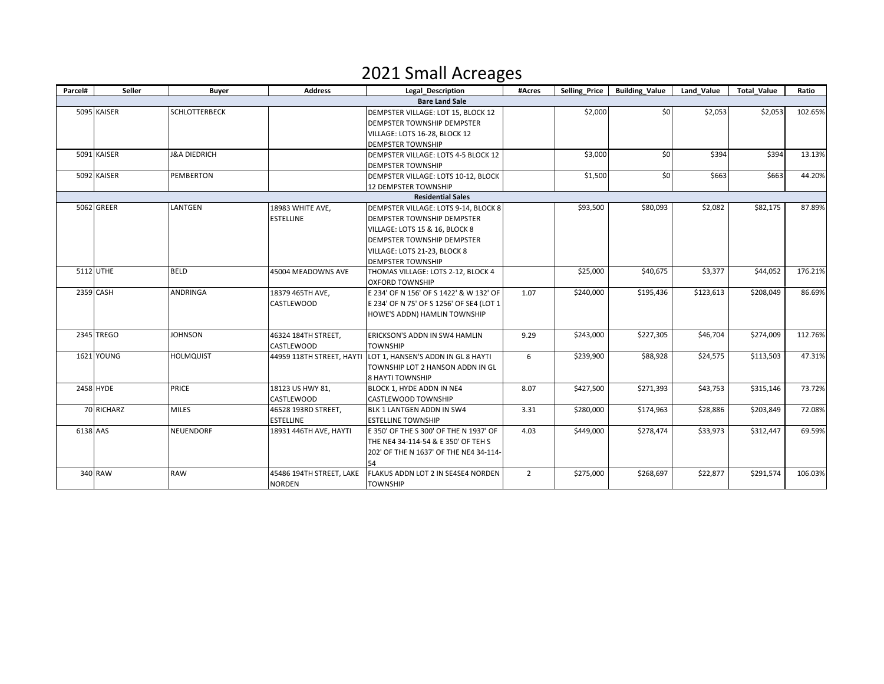### 2021 Small Acreages

| Parcel#  | Seller            | <b>Buyer</b>            | <b>Address</b>           | <b>Legal_Description</b>                                     | #Acres         | Selling Price | <b>Building Value</b> | Land Value | <b>Total Value</b> | Ratio   |
|----------|-------------------|-------------------------|--------------------------|--------------------------------------------------------------|----------------|---------------|-----------------------|------------|--------------------|---------|
|          |                   |                         |                          | <b>Bare Land Sale</b>                                        |                |               |                       |            |                    |         |
|          | 5095 KAISER       | <b>SCHLOTTERBECK</b>    |                          | DEMPSTER VILLAGE: LOT 15, BLOCK 12                           |                | \$2,000       | \$0                   | \$2,053    | \$2,053            | 102.65% |
|          |                   |                         |                          | <b>DEMPSTER TOWNSHIP DEMPSTER</b>                            |                |               |                       |            |                    |         |
|          |                   |                         |                          | VILLAGE: LOTS 16-28, BLOCK 12                                |                |               |                       |            |                    |         |
|          |                   |                         |                          | <b>DEMPSTER TOWNSHIP</b>                                     |                |               |                       |            |                    |         |
|          | 5091 KAISER       | <b>J&amp;A DIEDRICH</b> |                          | DEMPSTER VILLAGE: LOTS 4-5 BLOCK 12                          |                | \$3,000       | \$0                   | \$394      | \$394              | 13.13%  |
|          |                   |                         |                          | <b>DEMPSTER TOWNSHIP</b>                                     |                |               |                       |            |                    |         |
|          | 5092 KAISER       | PEMBERTON               |                          | DEMPSTER VILLAGE: LOTS 10-12, BLOCK                          |                | \$1,500       | \$0                   | \$663      | \$663              | 44.20%  |
|          |                   |                         |                          | 12 DEMPSTER TOWNSHIP                                         |                |               |                       |            |                    |         |
|          |                   |                         |                          | <b>Residential Sales</b>                                     |                |               |                       |            |                    |         |
|          | 5062 GREER        | LANTGEN                 | 18983 WHITE AVE,         | DEMPSTER VILLAGE: LOTS 9-14, BLOCK 8                         |                | \$93,500      | \$80,093              | \$2,082    | \$82,175           | 87.89%  |
|          |                   |                         | <b>ESTELLINE</b>         | <b>DEMPSTER TOWNSHIP DEMPSTER</b>                            |                |               |                       |            |                    |         |
|          |                   |                         |                          | VILLAGE: LOTS 15 & 16, BLOCK 8                               |                |               |                       |            |                    |         |
|          |                   |                         |                          | <b>DEMPSTER TOWNSHIP DEMPSTER</b>                            |                |               |                       |            |                    |         |
|          |                   |                         |                          | VILLAGE: LOTS 21-23, BLOCK 8                                 |                |               |                       |            |                    |         |
|          |                   |                         |                          | <b>DEMPSTER TOWNSHIP</b>                                     |                |               |                       |            |                    |         |
|          | 5112 UTHE         | <b>BELD</b>             | 45004 MEADOWNS AVE       | THOMAS VILLAGE: LOTS 2-12, BLOCK 4                           |                | \$25,000      | \$40,675              | \$3,377    | \$44,052           | 176.21% |
|          |                   |                         |                          | <b>OXFORD TOWNSHIP</b>                                       |                |               |                       |            |                    |         |
|          | 2359 CASH         | <b>ANDRINGA</b>         | 18379 465TH AVE,         | E 234' OF N 156' OF S 1422' & W 132' OF                      | 1.07           | \$240,000     | \$195,436             | \$123,613  | \$208,049          | 86.69%  |
|          |                   |                         | CASTLEWOOD               | E 234' OF N 75' OF S 1256' OF SE4 (LOT 1                     |                |               |                       |            |                    |         |
|          |                   |                         |                          | HOWE'S ADDN) HAMLIN TOWNSHIP                                 |                |               |                       |            |                    |         |
|          |                   |                         |                          |                                                              |                |               |                       |            |                    |         |
|          | 2345 TREGO        | <b>JOHNSON</b>          | 46324 184TH STREET,      | ERICKSON'S ADDN IN SW4 HAMLIN                                | 9.29           | \$243,000     | \$227,305             | \$46,704   | \$274,009          | 112.76% |
|          |                   |                         | CASTLEWOOD               | <b>TOWNSHIP</b>                                              |                |               |                       |            |                    |         |
|          | <b>1621 YOUNG</b> | <b>HOLMQUIST</b>        |                          | 44959 118TH STREET, HAYTI LOT 1, HANSEN'S ADDN IN GL 8 HAYTI | 6              | \$239,900     | \$88,928              | \$24,575   | \$113,503          | 47.31%  |
|          |                   |                         |                          | TOWNSHIP LOT 2 HANSON ADDN IN GL                             |                |               |                       |            |                    |         |
|          |                   |                         |                          | <b>8 HAYTI TOWNSHIP</b>                                      |                |               |                       |            |                    |         |
|          | 2458 HYDE         | <b>PRICE</b>            | 18123 US HWY 81.         | BLOCK 1, HYDE ADDN IN NE4                                    | 8.07           | \$427,500     | \$271,393             | \$43,753   | \$315,146          | 73.72%  |
|          |                   |                         | CASTLEWOOD               | CASTLEWOOD TOWNSHIP                                          |                |               |                       |            |                    |         |
|          | 70 RICHARZ        | <b>MILES</b>            | 46528 193RD STREET,      | BLK 1 LANTGEN ADDN IN SW4                                    | 3.31           | \$280,000     | \$174,963             | \$28,886   | \$203,849          | 72.08%  |
|          |                   |                         | <b>ESTELLINE</b>         | <b>ESTELLINE TOWNSHIP</b>                                    |                |               |                       |            |                    |         |
| 6138 AAS |                   | <b>NEUENDORF</b>        | 18931 446TH AVE, HAYTI   | E 350' OF THE S 300' OF THE N 1937' OF                       | 4.03           | \$449,000     | \$278,474             | \$33,973   | \$312,447          | 69.59%  |
|          |                   |                         |                          | THE NE4 34-114-54 & E 350' OF TEH S                          |                |               |                       |            |                    |         |
|          |                   |                         |                          | 202' OF THE N 1637' OF THE NE4 34-114-                       |                |               |                       |            |                    |         |
|          |                   |                         |                          | 54                                                           |                |               |                       |            |                    |         |
|          | 340 RAW           | <b>RAW</b>              | 45486 194TH STREET, LAKE | FLAKUS ADDN LOT 2 IN SE4SE4 NORDEN                           | $\overline{2}$ | \$275,000     | \$268,697             | \$22,877   | \$291,574          | 106.03% |
|          |                   |                         | NORDEN                   | <b>TOWNSHIP</b>                                              |                |               |                       |            |                    |         |